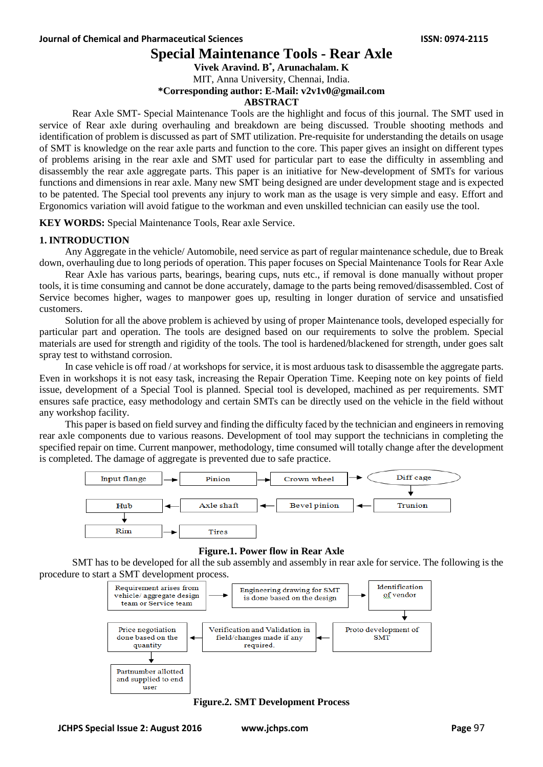# **Special Maintenance Tools - Rear Axle**

**Vivek Aravind. B \* , Arunachalam. K**

MIT, Anna University, Chennai, India.

**\*Corresponding author: E-Mail: v2v1v0@gmail.com**

#### **ABSTRACT**

Rear Axle SMT- Special Maintenance Tools are the highlight and focus of this journal. The SMT used in service of Rear axle during overhauling and breakdown are being discussed. Trouble shooting methods and identification of problem is discussed as part of SMT utilization. Pre-requisite for understanding the details on usage of SMT is knowledge on the rear axle parts and function to the core. This paper gives an insight on different types of problems arising in the rear axle and SMT used for particular part to ease the difficulty in assembling and disassembly the rear axle aggregate parts. This paper is an initiative for New-development of SMTs for various functions and dimensions in rear axle. Many new SMT being designed are under development stage and is expected to be patented. The Special tool prevents any injury to work man as the usage is very simple and easy. Effort and Ergonomics variation will avoid fatigue to the workman and even unskilled technician can easily use the tool.

**KEY WORDS:** Special Maintenance Tools, Rear axle Service.

### **1. INTRODUCTION**

Any Aggregate in the vehicle/ Automobile, need service as part of regular maintenance schedule, due to Break down, overhauling due to long periods of operation. This paper focuses on Special Maintenance Tools for Rear Axle

Rear Axle has various parts, bearings, bearing cups, nuts etc., if removal is done manually without proper tools, it is time consuming and cannot be done accurately, damage to the parts being removed/disassembled. Cost of Service becomes higher, wages to manpower goes up, resulting in longer duration of service and unsatisfied customers.

Solution for all the above problem is achieved by using of proper Maintenance tools, developed especially for particular part and operation. The tools are designed based on our requirements to solve the problem. Special materials are used for strength and rigidity of the tools. The tool is hardened/blackened for strength, under goes salt spray test to withstand corrosion.

In case vehicle is off road / at workshops for service, it is most arduous task to disassemble the aggregate parts. Even in workshops it is not easy task, increasing the Repair Operation Time. Keeping note on key points of field issue, development of a Special Tool is planned. Special tool is developed, machined as per requirements. SMT ensures safe practice, easy methodology and certain SMTs can be directly used on the vehicle in the field without any workshop facility.

This paper is based on field survey and finding the difficulty faced by the technician and engineers in removing rear axle components due to various reasons. Development of tool may support the technicians in completing the specified repair on time. Current manpower, methodology, time consumed will totally change after the development is completed. The damage of aggregate is prevented due to safe practice.



### **Figure.1. Power flow in Rear Axle**

SMT has to be developed for all the sub assembly and assembly in rear axle for service. The following is the procedure to start a SMT development process.



**Figure.2. SMT Development Process**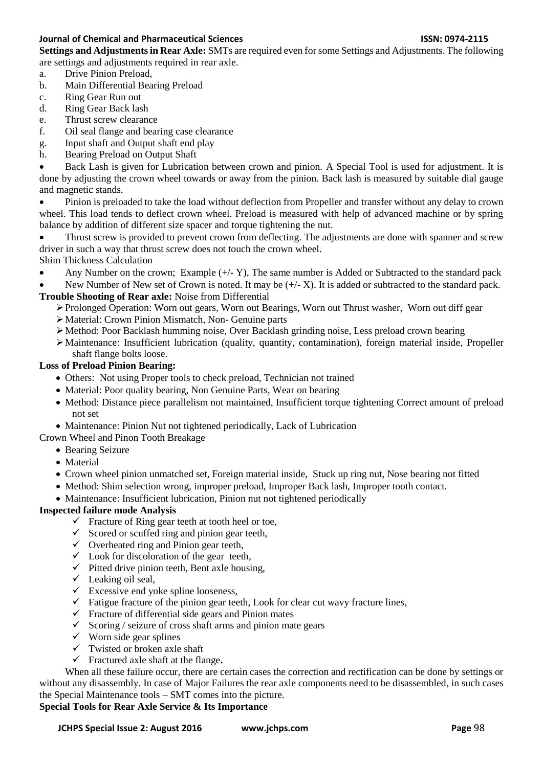### **Journal of Chemical and Pharmaceutical Sciences ISSN: 0974-2115**

**Settings and Adjustments in Rear Axle:** SMTs are required even for some Settings and Adjustments. The following are settings and adjustments required in rear axle.

- a. Drive Pinion Preload,
- b. Main Differential Bearing Preload
- c. Ring Gear Run out
- d. Ring Gear Back lash
- e. Thrust screw clearance
- f. Oil seal flange and bearing case clearance
- g. Input shaft and Output shaft end play
- h. Bearing Preload on Output Shaft

 Back Lash is given for Lubrication between crown and pinion. A Special Tool is used for adjustment. It is done by adjusting the crown wheel towards or away from the pinion. Back lash is measured by suitable dial gauge and magnetic stands.

 Pinion is preloaded to take the load without deflection from Propeller and transfer without any delay to crown wheel. This load tends to deflect crown wheel. Preload is measured with help of advanced machine or by spring balance by addition of different size spacer and torque tightening the nut.

 Thrust screw is provided to prevent crown from deflecting. The adjustments are done with spanner and screw driver in such a way that thrust screw does not touch the crown wheel.

Shim Thickness Calculation

• Any Number on the crown; Example  $(+,-Y)$ , The same number is Added or Subtracted to the standard pack

New Number of New set of Crown is noted. It may be  $(+/- X)$ . It is added or subtracted to the standard pack. **Trouble Shooting of Rear axle:** Noise from Differential

- Prolonged Operation: Worn out gears, Worn out Bearings, Worn out Thrust washer, Worn out diff gear
- Material: Crown Pinion Mismatch, Non- Genuine parts
- Method: Poor Backlash humming noise, Over Backlash grinding noise, Less preload crown bearing

Maintenance: Insufficient lubrication (quality, quantity, contamination), foreign material inside, Propeller shaft flange bolts loose.

## **Loss of Preload Pinion Bearing:**

- Others: Not using Proper tools to check preload, Technician not trained
- Material: Poor quality bearing, Non Genuine Parts, Wear on bearing
- Method: Distance piece parallelism not maintained, Insufficient torque tightening Correct amount of preload not set
- Maintenance: Pinion Nut not tightened periodically, Lack of Lubrication

Crown Wheel and Pinon Tooth Breakage

- Bearing Seizure
- Material
- Crown wheel pinion unmatched set, Foreign material inside, Stuck up ring nut, Nose bearing not fitted
- Method: Shim selection wrong, improper preload, Improper Back lash, Improper tooth contact.
- Maintenance: Insufficient lubrication, Pinion nut not tightened periodically

## **Inspected failure mode Analysis**

- $\checkmark$  Fracture of Ring gear teeth at tooth heel or toe,
- $\checkmark$  Scored or scuffed ring and pinion gear teeth,
- $\checkmark$  Overheated ring and Pinion gear teeth,
- $\checkmark$  Look for discoloration of the gear teeth,
- $\checkmark$  Pitted drive pinion teeth, Bent axle housing,
- $\checkmark$  Leaking oil seal.
- $\checkmark$  Excessive end yoke spline looseness,
- $\checkmark$  Fatigue fracture of the pinion gear teeth, Look for clear cut wavy fracture lines,
- $\checkmark$  Fracture of differential side gears and Pinion mates
- $\checkmark$  Scoring / seizure of cross shaft arms and pinion mate gears
- $\checkmark$  Worn side gear splines
- $\checkmark$  Twisted or broken axle shaft
- Fractured axle shaft at the flange**.**

When all these failure occur, there are certain cases the correction and rectification can be done by settings or without any disassembly. In case of Major Failures the rear axle components need to be disassembled, in such cases the Special Maintenance tools – SMT comes into the picture.

## **Special Tools for Rear Axle Service & Its Importance**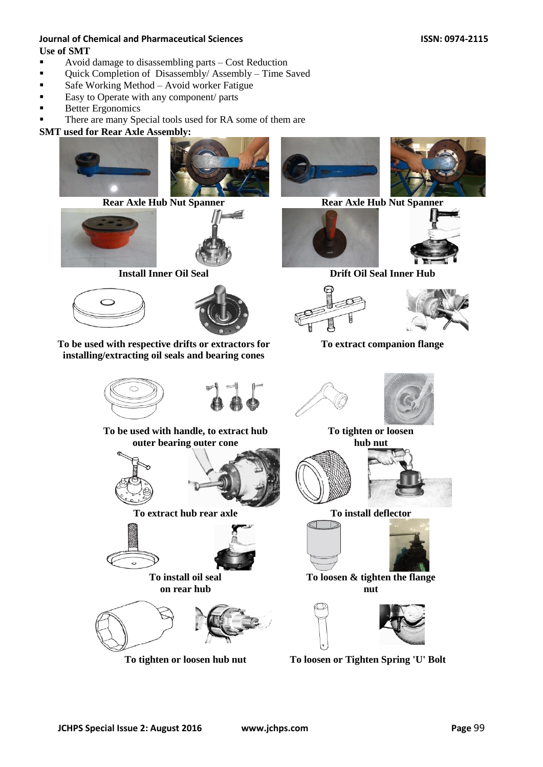## **Journal of Chemical and Pharmaceutical Sciences ISSN: 0974-2115 Use of SMT**

- Avoid damage to disassembling parts Cost Reduction
- **•** Quick Completion of Disassembly/Assembly Time Saved
- Safe Working Method Avoid worker Fatigue
- Easy to Operate with any component/ parts
- Better Ergonomics
- There are many Special tools used for RA some of them are

## **SMT used for Rear Axle Assembly:**

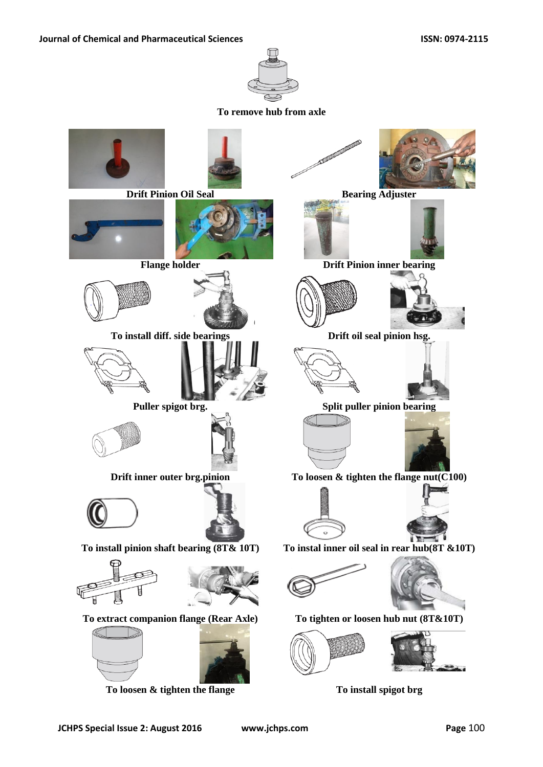

**To remove hub from axle**



**To loosen & tighten the flange To install spigot brg**